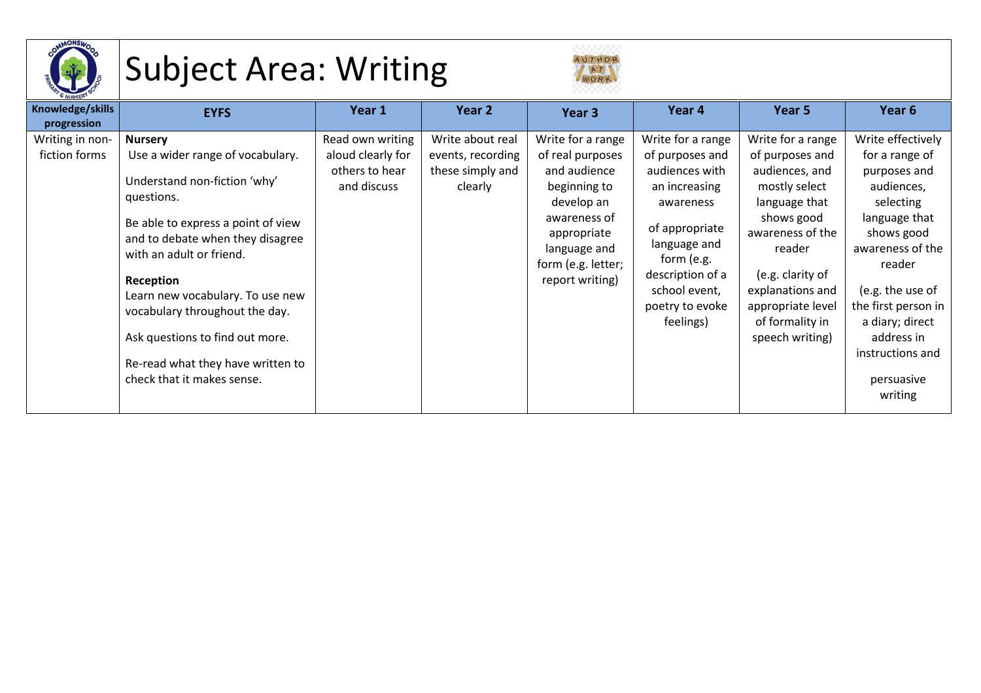

## Subject Area: Writing



| <sup>&amp;</sup> NURSER         |                                                                                                                                                                                                                                                                                                                                           |                               |                             |                                                                                                                                    |                                                                                                                                                                   |                                                                                                                                                                                                 |                                                                                                                                                                                                                               |
|---------------------------------|-------------------------------------------------------------------------------------------------------------------------------------------------------------------------------------------------------------------------------------------------------------------------------------------------------------------------------------------|-------------------------------|-----------------------------|------------------------------------------------------------------------------------------------------------------------------------|-------------------------------------------------------------------------------------------------------------------------------------------------------------------|-------------------------------------------------------------------------------------------------------------------------------------------------------------------------------------------------|-------------------------------------------------------------------------------------------------------------------------------------------------------------------------------------------------------------------------------|
| Knowledge/skills<br>progression | <b>EYFS</b>                                                                                                                                                                                                                                                                                                                               | Year 1                        | Year 2                      | Year 3                                                                                                                             | Year 4                                                                                                                                                            | Year 5                                                                                                                                                                                          | Year 6                                                                                                                                                                                                                        |
| Writing in non-                 | <b>Nursery</b>                                                                                                                                                                                                                                                                                                                            | Read own writing              | Write about real            | Write for a range                                                                                                                  | Write for a range                                                                                                                                                 | Write for a range                                                                                                                                                                               | Write effectively                                                                                                                                                                                                             |
| fiction forms                   | Use a wider range of vocabulary.                                                                                                                                                                                                                                                                                                          | aloud clearly for             | events, recording           | of real purposes                                                                                                                   | of purposes and                                                                                                                                                   | of purposes and                                                                                                                                                                                 | for a range of                                                                                                                                                                                                                |
|                                 | Understand non-fiction 'why'<br>questions.<br>Be able to express a point of view<br>and to debate when they disagree<br>with an adult or friend.<br>Reception<br>Learn new vocabulary. To use new<br>vocabulary throughout the day.<br>Ask questions to find out more.<br>Re-read what they have written to<br>check that it makes sense. | others to hear<br>and discuss | these simply and<br>clearly | and audience<br>beginning to<br>develop an<br>awareness of<br>appropriate<br>language and<br>form (e.g. letter;<br>report writing) | audiences with<br>an increasing<br>awareness<br>of appropriate<br>language and<br>form (e.g.<br>description of a<br>school event,<br>poetry to evoke<br>feelings) | audiences, and<br>mostly select<br>language that<br>shows good<br>awareness of the<br>reader<br>(e.g. clarity of<br>explanations and<br>appropriate level<br>of formality in<br>speech writing) | purposes and<br>audiences,<br>selecting<br>language that<br>shows good<br>awareness of the<br>reader<br>(e.g. the use of<br>the first person in<br>a diary; direct<br>address in<br>instructions and<br>persuasive<br>writing |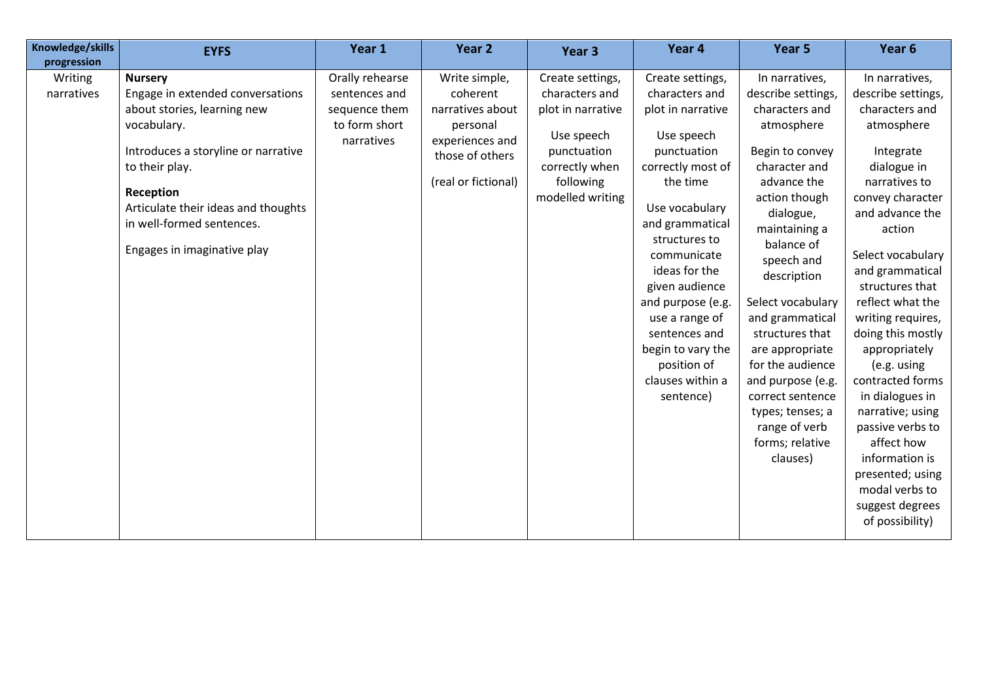| Knowledge/skills<br>progression | <b>EYFS</b>                                                                                                                                                                                                                                                               | Year 1                                                                           | Year 2                                                                                                                 | Year 3                                                                                                                                  | Year 4                                                                                                                                                                                                                                                                                                                                                     | Year 5                                                                                                                                                                                                                                                                                                                                                                                                                           | Year 6                                                                                                                                                                                                                                                                                                                                                                                                                                                                                                                 |
|---------------------------------|---------------------------------------------------------------------------------------------------------------------------------------------------------------------------------------------------------------------------------------------------------------------------|----------------------------------------------------------------------------------|------------------------------------------------------------------------------------------------------------------------|-----------------------------------------------------------------------------------------------------------------------------------------|------------------------------------------------------------------------------------------------------------------------------------------------------------------------------------------------------------------------------------------------------------------------------------------------------------------------------------------------------------|----------------------------------------------------------------------------------------------------------------------------------------------------------------------------------------------------------------------------------------------------------------------------------------------------------------------------------------------------------------------------------------------------------------------------------|------------------------------------------------------------------------------------------------------------------------------------------------------------------------------------------------------------------------------------------------------------------------------------------------------------------------------------------------------------------------------------------------------------------------------------------------------------------------------------------------------------------------|
| Writing<br>narratives           | <b>Nursery</b><br>Engage in extended conversations<br>about stories, learning new<br>vocabulary.<br>Introduces a storyline or narrative<br>to their play.<br>Reception<br>Articulate their ideas and thoughts<br>in well-formed sentences.<br>Engages in imaginative play | Orally rehearse<br>sentences and<br>sequence them<br>to form short<br>narratives | Write simple,<br>coherent<br>narratives about<br>personal<br>experiences and<br>those of others<br>(real or fictional) | Create settings,<br>characters and<br>plot in narrative<br>Use speech<br>punctuation<br>correctly when<br>following<br>modelled writing | Create settings,<br>characters and<br>plot in narrative<br>Use speech<br>punctuation<br>correctly most of<br>the time<br>Use vocabulary<br>and grammatical<br>structures to<br>communicate<br>ideas for the<br>given audience<br>and purpose (e.g.<br>use a range of<br>sentences and<br>begin to vary the<br>position of<br>clauses within a<br>sentence) | In narratives,<br>describe settings,<br>characters and<br>atmosphere<br>Begin to convey<br>character and<br>advance the<br>action though<br>dialogue,<br>maintaining a<br>balance of<br>speech and<br>description<br>Select vocabulary<br>and grammatical<br>structures that<br>are appropriate<br>for the audience<br>and purpose (e.g.<br>correct sentence<br>types; tenses; a<br>range of verb<br>forms; relative<br>clauses) | In narratives,<br>describe settings,<br>characters and<br>atmosphere<br>Integrate<br>dialogue in<br>narratives to<br>convey character<br>and advance the<br>action<br>Select vocabulary<br>and grammatical<br>structures that<br>reflect what the<br>writing requires,<br>doing this mostly<br>appropriately<br>(e.g. using<br>contracted forms<br>in dialogues in<br>narrative; using<br>passive verbs to<br>affect how<br>information is<br>presented; using<br>modal verbs to<br>suggest degrees<br>of possibility) |
|                                 |                                                                                                                                                                                                                                                                           |                                                                                  |                                                                                                                        |                                                                                                                                         |                                                                                                                                                                                                                                                                                                                                                            |                                                                                                                                                                                                                                                                                                                                                                                                                                  |                                                                                                                                                                                                                                                                                                                                                                                                                                                                                                                        |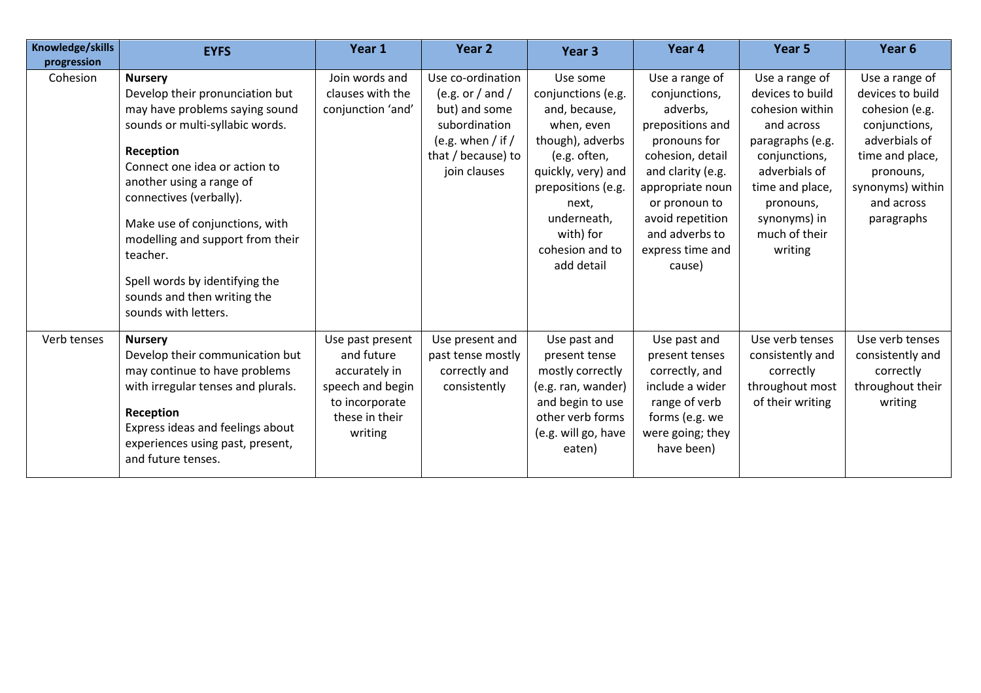| Knowledge/skills<br>progression | <b>EYFS</b>                                                                                                                                                                                                                                                                                                                                                                                            | Year 1                                                                                                             | Year 2                                                                                                                                 | Year 3                                                                                                                                                                                                              | Year 4                                                                                                                                                                                                                            | Year 5                                                                                                                                                                                                | Year 6                                                                                                                                                                 |
|---------------------------------|--------------------------------------------------------------------------------------------------------------------------------------------------------------------------------------------------------------------------------------------------------------------------------------------------------------------------------------------------------------------------------------------------------|--------------------------------------------------------------------------------------------------------------------|----------------------------------------------------------------------------------------------------------------------------------------|---------------------------------------------------------------------------------------------------------------------------------------------------------------------------------------------------------------------|-----------------------------------------------------------------------------------------------------------------------------------------------------------------------------------------------------------------------------------|-------------------------------------------------------------------------------------------------------------------------------------------------------------------------------------------------------|------------------------------------------------------------------------------------------------------------------------------------------------------------------------|
| Cohesion                        | <b>Nursery</b><br>Develop their pronunciation but<br>may have problems saying sound<br>sounds or multi-syllabic words.<br>Reception<br>Connect one idea or action to<br>another using a range of<br>connectives (verbally).<br>Make use of conjunctions, with<br>modelling and support from their<br>teacher.<br>Spell words by identifying the<br>sounds and then writing the<br>sounds with letters. | Join words and<br>clauses with the<br>conjunction 'and'                                                            | Use co-ordination<br>(e.g. or / and /<br>but) and some<br>subordination<br>(e.g. when $/$ if $/$<br>that / because) to<br>join clauses | Use some<br>conjunctions (e.g.<br>and, because,<br>when, even<br>though), adverbs<br>(e.g. often,<br>quickly, very) and<br>prepositions (e.g.<br>next,<br>underneath,<br>with) for<br>cohesion and to<br>add detail | Use a range of<br>conjunctions,<br>adverbs,<br>prepositions and<br>pronouns for<br>cohesion, detail<br>and clarity (e.g.<br>appropriate noun<br>or pronoun to<br>avoid repetition<br>and adverbs to<br>express time and<br>cause) | Use a range of<br>devices to build<br>cohesion within<br>and across<br>paragraphs (e.g.<br>conjunctions,<br>adverbials of<br>time and place,<br>pronouns,<br>synonyms) in<br>much of their<br>writing | Use a range of<br>devices to build<br>cohesion (e.g.<br>conjunctions,<br>adverbials of<br>time and place,<br>pronouns,<br>synonyms) within<br>and across<br>paragraphs |
| Verb tenses                     | <b>Nursery</b><br>Develop their communication but<br>may continue to have problems<br>with irregular tenses and plurals.<br>Reception<br>Express ideas and feelings about<br>experiences using past, present,<br>and future tenses.                                                                                                                                                                    | Use past present<br>and future<br>accurately in<br>speech and begin<br>to incorporate<br>these in their<br>writing | Use present and<br>past tense mostly<br>correctly and<br>consistently                                                                  | Use past and<br>present tense<br>mostly correctly<br>(e.g. ran, wander)<br>and begin to use<br>other verb forms<br>(e.g. will go, have<br>eaten)                                                                    | Use past and<br>present tenses<br>correctly, and<br>include a wider<br>range of verb<br>forms (e.g. we<br>were going; they<br>have been)                                                                                          | Use verb tenses<br>consistently and<br>correctly<br>throughout most<br>of their writing                                                                                                               | Use verb tenses<br>consistently and<br>correctly<br>throughout their<br>writing                                                                                        |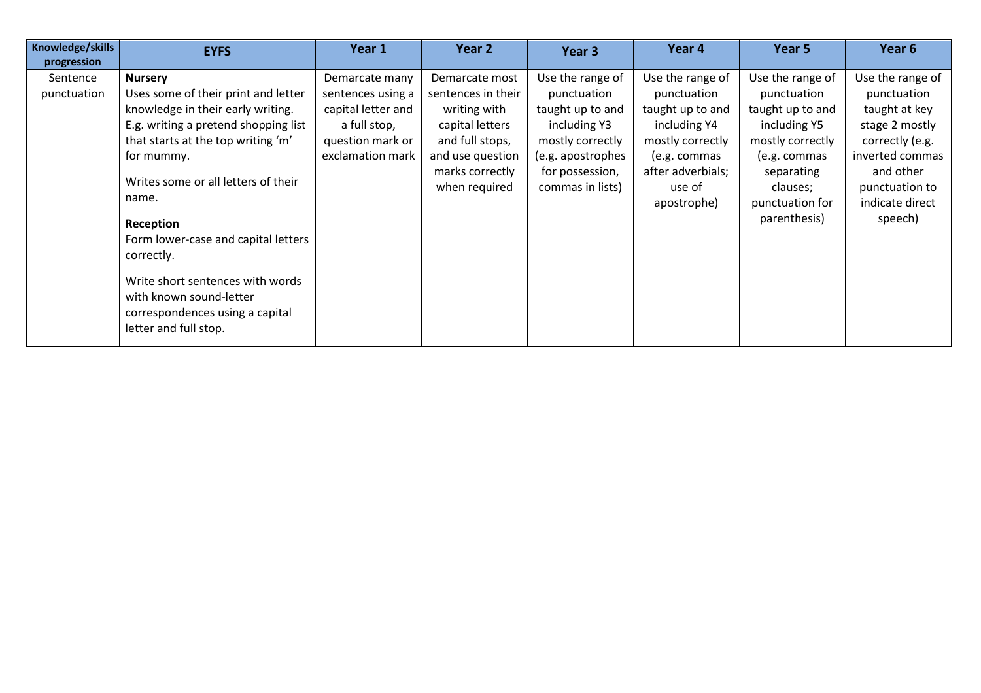| Knowledge/skills<br>progression | <b>EYFS</b>                                                                                                                                                                                                                                                                                                                                                                                                                         | Year 1                                                                                                            | Year 2                                                                                                                                             | Year <sub>3</sub>                                                                                                                                   | Year 4                                                                                                                                                | Year 5                                                                                                                                                               | Year <sub>6</sub>                                                                                                                                                     |
|---------------------------------|-------------------------------------------------------------------------------------------------------------------------------------------------------------------------------------------------------------------------------------------------------------------------------------------------------------------------------------------------------------------------------------------------------------------------------------|-------------------------------------------------------------------------------------------------------------------|----------------------------------------------------------------------------------------------------------------------------------------------------|-----------------------------------------------------------------------------------------------------------------------------------------------------|-------------------------------------------------------------------------------------------------------------------------------------------------------|----------------------------------------------------------------------------------------------------------------------------------------------------------------------|-----------------------------------------------------------------------------------------------------------------------------------------------------------------------|
| Sentence<br>punctuation         | <b>Nursery</b><br>Uses some of their print and letter<br>knowledge in their early writing.<br>E.g. writing a pretend shopping list<br>that starts at the top writing 'm'<br>for mummy.<br>Writes some or all letters of their<br>name.<br>Reception<br>Form lower-case and capital letters<br>correctly.<br>Write short sentences with words<br>with known sound-letter<br>correspondences using a capital<br>letter and full stop. | Demarcate many<br>sentences using a<br>capital letter and<br>a full stop,<br>question mark or<br>exclamation mark | Demarcate most<br>sentences in their<br>writing with<br>capital letters<br>and full stops,<br>and use question<br>marks correctly<br>when required | Use the range of<br>punctuation<br>taught up to and<br>including Y3<br>mostly correctly<br>(e.g. apostrophes<br>for possession,<br>commas in lists) | Use the range of<br>punctuation<br>taught up to and<br>including Y4<br>mostly correctly<br>(e.g. commas<br>after adverbials;<br>use of<br>apostrophe) | Use the range of<br>punctuation<br>taught up to and<br>including Y5<br>mostly correctly<br>(e.g. commas<br>separating<br>clauses;<br>punctuation for<br>parenthesis) | Use the range of<br>punctuation<br>taught at key<br>stage 2 mostly<br>correctly (e.g.<br>inverted commas<br>and other<br>punctuation to<br>indicate direct<br>speech) |